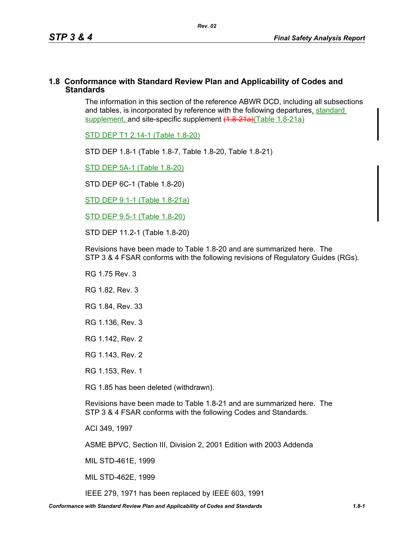#### **1.8 Conformance with Standard Review Plan and Applicability of Codes and Standards**

*Rev. 02*

The information in this section of the reference ABWR DCD, including all subsections and tables, is incorporated by reference with the following departures, standard supplement, and site-specific supplement [\(1.8-21a](#page-4-0))(Table 1.8-21a)

STD DEP T1 2.14-1 (Table 1.8-20)

STD DEP 1.8-1 (Table 1.8-7, Table [1.8-20,](#page-2-0) Table [1.8-21\)](#page-3-0)

STD DEP 5A-1 (Table 1.8-20)

STD DEP 6C-1 (Table [1.8-20\)](#page-2-0)

STD DEP 9.1-1 (Table 1.8-21a)

STD DEP 9.5-1 (Table 1.8-20)

STD DEP 11.2-1 (Table [1.8-20](#page-2-0))

Revisions have been made to Table [1.8-20](#page-2-0) and are summarized here. The STP 3 & 4 FSAR conforms with the following revisions of Regulatory Guides (RGs).

RG 1.75 Rev. 3

RG 1.82, Rev. 3

RG 1.84, Rev. 33

RG 1.136, Rev. 3

RG 1.142, Rev. 2

RG 1.143, Rev. 2

RG 1.153, Rev. 1

RG 1.85 has been deleted (withdrawn).

Revisions have been made to Table [1.8-21](#page-3-0) and are summarized here. The STP 3 & 4 FSAR conforms with the following Codes and Standards.

ACI 349, 1997

ASME BPVC, Section III, Division 2, 2001 Edition with 2003 Addenda

MIL STD-461E, 1999

MIL STD-462E, 1999

IEEE 279, 1971 has been replaced by IEEE 603, 1991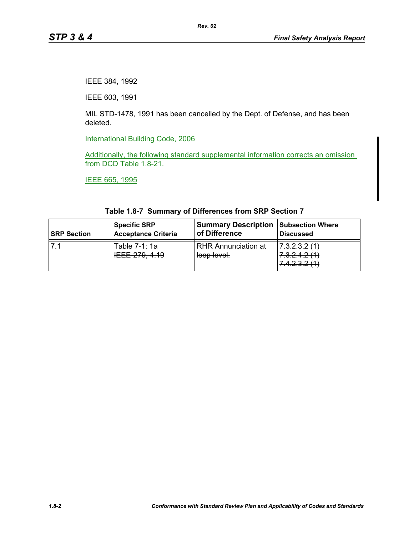IEEE 384, 1992

IEEE 603, 1991

MIL STD-1478, 1991 has been cancelled by the Dept. of Defense, and has been deleted.

International Building Code, 2006

Additionally, the following standard supplemental information corrects an omission from DCD Table 1.8-21.

IEEE 665, 1995

| <b>SRP Section</b> | ∣Specific SRP<br>Acceptance Criteria | Summary Description<br>of Difference | <b>Subsection Where</b><br><b>Discussed</b>   |
|--------------------|--------------------------------------|--------------------------------------|-----------------------------------------------|
| 7.1                | Table 7.1:1a<br>IEEE 279, 4.19       | RHR Annunciation at-<br>loop level.  | 73939/11<br><del>1.0.2.0.2 (1)</del><br>22121 |
|                    |                                      |                                      | 7. <del>.</del>                               |

#### **Table 1.8-7 Summary of Differences from SRP Section 7**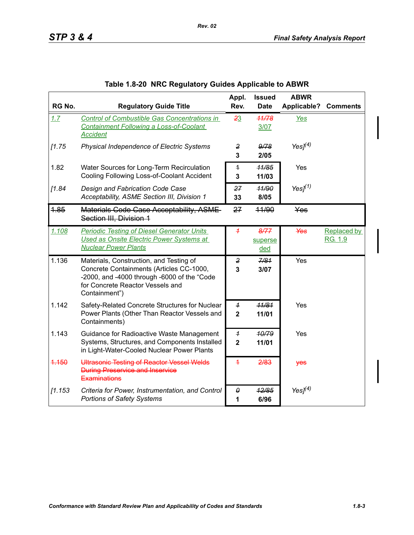<span id="page-2-0"></span>

| RG No.  | <b>Regulatory Guide Title</b>                                                                                                                                                           | Appl.<br>Rev.                             | <b>Issued</b><br><b>Date</b>  | <b>ABWR</b><br>Applicable? | <b>Comments</b>               |
|---------|-----------------------------------------------------------------------------------------------------------------------------------------------------------------------------------------|-------------------------------------------|-------------------------------|----------------------------|-------------------------------|
| 1.7     | <b>Control of Combustible Gas Concentrations in</b><br><b>Containment Following a Loss-of-Coolant</b><br><b>Accident</b>                                                                | 23                                        | 11/78<br>3/07                 | Yes                        |                               |
| [1.75]  | Physical Independence of Electric Systems                                                                                                                                               | $\overline{2}$<br>3                       | 9/78<br>2/05                  | Yes $I^{(4)}$              |                               |
| 1.82    | Water Sources for Long-Term Recirculation<br>Cooling Following Loss-of-Coolant Accident                                                                                                 | $\overline{1}$<br>3                       | 11/85<br>11/03                | Yes                        |                               |
| [1.84]  | Design and Fabrication Code Case<br>Acceptability, ASME Section III, Division 1                                                                                                         | 27<br>33                                  | 11/90<br>8/05                 | Yes $I(1)$                 |                               |
| 4.85    | Materials Code Case Acceptability, ASME-<br>Section III, Division 1                                                                                                                     | 27                                        | 44/90                         | Yes                        |                               |
| 1.108   | <b>Periodic Testing of Diesel Generator Units</b><br>Used as Onsite Electric Power Systems at<br><b>Nuclear Power Plants</b>                                                            | $\overline{1}$                            | 8/77<br>superse<br><u>ded</u> | <b>Yes</b>                 | <b>Replaced by</b><br>RG. 1.9 |
| 1.136   | Materials, Construction, and Testing of<br>Concrete Containments (Articles CC-1000,<br>-2000, and -4000 through -6000 of the "Code<br>for Concrete Reactor Vessels and<br>Containment") | 2<br>3                                    | 7/81<br>3/07                  | Yes                        |                               |
| 1.142   | Safety-Related Concrete Structures for Nuclear<br>Power Plants (Other Than Reactor Vessels and<br>Containments)                                                                         | $\boldsymbol{\mathcal{L}}$<br>$\mathbf 2$ | 11/81<br>11/01                | Yes                        |                               |
| 1.143   | Guidance for Radioactive Waste Management<br>Systems, Structures, and Components Installed<br>in Light-Water-Cooled Nuclear Power Plants                                                | $\overline{1}$<br>$\overline{2}$          | 10/79<br>11/01                | Yes                        |                               |
| 4.150   | Ultrasonic Testing of Reactor Vessel Welds<br><b>During Preservice and Inservice</b><br><b>Examinations</b>                                                                             | $\overline{+}$                            | 2/83                          | yes                        |                               |
| [1.153] | Criteria for Power, Instrumentation, and Control<br><b>Portions of Safety Systems</b>                                                                                                   | $\pmb{\theta}$<br>1                       | 12/85<br>6/96                 | Yes $J(4)$                 |                               |

# **Table 1.8-20 NRC Regulatory Guides Applicable to ABWR**

*Rev. 02*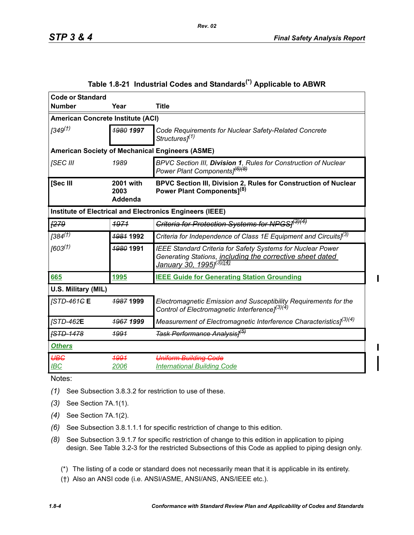$\blacksquare$ 

Π

<span id="page-3-0"></span>

| <b>Code or Standard</b>                                  |                                                        |                                                                                                                                                                               |  |  |
|----------------------------------------------------------|--------------------------------------------------------|-------------------------------------------------------------------------------------------------------------------------------------------------------------------------------|--|--|
| <b>Number</b>                                            | Year                                                   | <b>Title</b>                                                                                                                                                                  |  |  |
| American Concrete Institute (ACI)                        |                                                        |                                                                                                                                                                               |  |  |
| 1349 <sup>(†)</sup>                                      | 1980 1997                                              | Code Requirements for Nuclear Safety-Related Concrete<br>Structures <sup>[1]</sup>                                                                                            |  |  |
|                                                          | <b>American Society of Mechanical Engineers (ASME)</b> |                                                                                                                                                                               |  |  |
| [SEC III                                                 | 1989                                                   | BPVC Section III, Division 1, Rules for Construction of Nuclear<br>Power Plant Components] <sup>(6)(8)</sup>                                                                  |  |  |
| [Sec III                                                 | <b>2001 with</b><br>2003<br>Addenda                    | BPVC Section III, Division 2, Rules for Construction of Nuclear<br>Power Plant Components] <sup>(8)</sup>                                                                     |  |  |
| Institute of Electrical and Electronics Engineers (IEEE) |                                                        |                                                                                                                                                                               |  |  |
| F279                                                     | 4974                                                   | Criteria for Protection Systems for NPGSJ(3)(4)                                                                                                                               |  |  |
| $[384^{(1)}]$                                            | 1981 1992                                              | Criteria for Independence of Class 1E Equipment and Circuits] <sup>(3)</sup>                                                                                                  |  |  |
| (603 <sup>(†)</sup> )                                    | <b>1980 1991</b>                                       | IEEE Standard Criteria for Safety Systems for Nuclear Power<br>Generating Stations, including the corrective sheet dated<br><u>January 30, 1995]<sup>(3)<u>/(4)</u></sup></u> |  |  |
| 665                                                      | 1995                                                   | <b>IEEE Guide for Generating Station Grounding</b>                                                                                                                            |  |  |
| U.S. Military (MIL)                                      |                                                        |                                                                                                                                                                               |  |  |
| <b>STD-461GE</b>                                         | 1987 1999                                              | Electromagnetic Emission and Susceptibility Requirements for the<br>Control of Electromagnetic Interference] <sup>(3)(4)</sup>                                                |  |  |
| <b>/STD-462E</b>                                         | 1967 1999                                              | Measurement of Electromagnetic Interference Characteristics] <sup>(3)(4)</sup>                                                                                                |  |  |
| <b>[STD-1478</b>                                         | <u> 1991</u>                                           | <del>Task Performance Analysis]<sup>(5)</sup></del>                                                                                                                           |  |  |
| <b>Others</b>                                            |                                                        |                                                                                                                                                                               |  |  |
| <b>UBG</b><br>$\overline{IBC}$                           | 4994<br>2006                                           | <b>Uniform Building Code</b><br><b>International Building Code</b>                                                                                                            |  |  |

## **Table 1.8-21 Industrial Codes and Standards(\*) Applicable to ABWR**

*Rev. 02*

Notes:

- *(1)* See Subsection 3.8.3.2 for restriction to use of these.
- *(3)* See Section 7A.1(1).
- *(4)* See Section 7A.1(2).
- *(6)* See Subsection 3.8.1.1.1 for specific restriction of change to this edition.
- *(8)* See Subsection 3.9.1.7 for specific restriction of change to this edition in application to piping design. See Table 3.2-3 for the restricted Subsections of this Code as applied to piping design only.
	- (\*) The listing of a code or standard does not necessarily mean that it is applicable in its entirety.
	- (†) Also an ANSI code (i.e. ANSI/ASME, ANSI/ANS, ANS/IEEE etc.).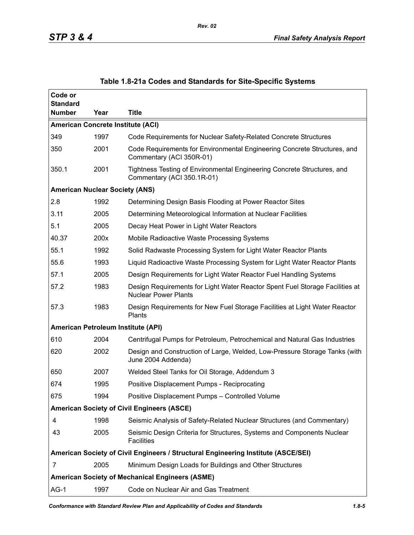<span id="page-4-0"></span>

| Code or<br><b>Standard</b>                             |                                                   |                                                                                                             |  |  |  |
|--------------------------------------------------------|---------------------------------------------------|-------------------------------------------------------------------------------------------------------------|--|--|--|
| <b>Number</b>                                          | Year                                              | <b>Title</b>                                                                                                |  |  |  |
|                                                        | <b>American Concrete Institute (ACI)</b>          |                                                                                                             |  |  |  |
| 349                                                    | 1997                                              | Code Requirements for Nuclear Safety-Related Concrete Structures                                            |  |  |  |
| 350                                                    | 2001                                              | Code Requirements for Environmental Engineering Concrete Structures, and<br>Commentary (ACI 350R-01)        |  |  |  |
| 350.1                                                  | 2001                                              | Tightness Testing of Environmental Engineering Concrete Structures, and<br>Commentary (ACI 350.1R-01)       |  |  |  |
| <b>American Nuclear Society (ANS)</b>                  |                                                   |                                                                                                             |  |  |  |
| 2.8                                                    | 1992                                              | Determining Design Basis Flooding at Power Reactor Sites                                                    |  |  |  |
| 3.11                                                   | 2005                                              | Determining Meteorological Information at Nuclear Facilities                                                |  |  |  |
| 5.1                                                    | 2005                                              | Decay Heat Power in Light Water Reactors                                                                    |  |  |  |
| 40.37                                                  | 200x                                              | Mobile Radioactive Waste Processing Systems                                                                 |  |  |  |
| 55.1                                                   | 1992                                              | Solid Radwaste Processing System for Light Water Reactor Plants                                             |  |  |  |
| 55.6                                                   | 1993                                              | Liquid Radioactive Waste Processing System for Light Water Reactor Plants                                   |  |  |  |
| 57.1                                                   | 2005                                              | Design Requirements for Light Water Reactor Fuel Handling Systems                                           |  |  |  |
| 57.2                                                   | 1983                                              | Design Requirements for Light Water Reactor Spent Fuel Storage Facilities at<br><b>Nuclear Power Plants</b> |  |  |  |
| 57.3                                                   | 1983                                              | Design Requirements for New Fuel Storage Facilities at Light Water Reactor<br>Plants                        |  |  |  |
| American Petroleum Institute (API)                     |                                                   |                                                                                                             |  |  |  |
| 610                                                    | 2004                                              | Centrifugal Pumps for Petroleum, Petrochemical and Natural Gas Industries                                   |  |  |  |
| 620                                                    | 2002                                              | Design and Construction of Large, Welded, Low-Pressure Storage Tanks (with<br>June 2004 Addenda)            |  |  |  |
| 650                                                    | 2007                                              | Welded Steel Tanks for Oil Storage, Addendum 3                                                              |  |  |  |
| 674                                                    | 1995                                              | Positive Displacement Pumps - Reciprocating                                                                 |  |  |  |
| 675                                                    | 1994                                              | Positive Displacement Pumps - Controlled Volume                                                             |  |  |  |
|                                                        | <b>American Society of Civil Engineers (ASCE)</b> |                                                                                                             |  |  |  |
| 4                                                      | 1998                                              | Seismic Analysis of Safety-Related Nuclear Structures (and Commentary)                                      |  |  |  |
| 43                                                     | 2005                                              | Seismic Design Criteria for Structures, Systems and Components Nuclear<br><b>Facilities</b>                 |  |  |  |
|                                                        |                                                   | American Society of Civil Engineers / Structural Engineering Institute (ASCE/SEI)                           |  |  |  |
| 7                                                      | 2005                                              | Minimum Design Loads for Buildings and Other Structures                                                     |  |  |  |
| <b>American Society of Mechanical Engineers (ASME)</b> |                                                   |                                                                                                             |  |  |  |
| $AG-1$                                                 | 1997                                              | Code on Nuclear Air and Gas Treatment                                                                       |  |  |  |

### **Table 1.8-21a Codes and Standards for Site-Specific Systems**

*Rev. 02*